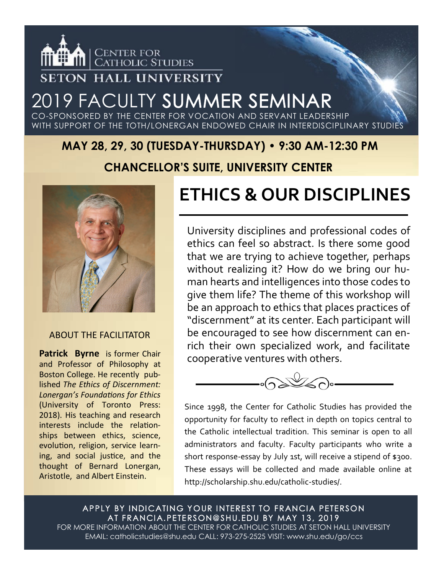

### **SETON HALL UNIVERSITY**

### 2019 FACULTY SUMMER SEMINAR CO-SPONSORED BY THE CENTER FOR VOCATION AND SERVANT LEADERSHIP

WITH SUPPORT OF THE TOTH/LONERGAN ENDOWED CHAIR IN INTERDISCIPLINARY STUDIES

### **MAY 28, 29, 30 (TUESDAY-THURSDAY) • 9:30 AM-12:30 PM**

### **CHANCELLOR'S SUITE, UNIVERSITY CENTER**



#### ABOUT THE FACILITATOR

**Patrick Byrne** is former Chair and Professor of Philosophy at Boston College. He recently published *The Ethics of Discernment: Lonergan's Foundations for Ethics*  (University of Toronto Press: 2018). His teaching and research interests include the relationships between ethics, science, evolution, religion, service learning, and social justice, and the thought of Bernard Lonergan, Aristotle, and Albert Einstein.

# **ETHICS & OUR DISCIPLINES**

University disciplines and professional codes of ethics can feel so abstract. Is there some good that we are trying to achieve together, perhaps without realizing it? How do we bring our human hearts and intelligences into those codes to give them life? The theme of this workshop will be an approach to ethics that places practices of "discernment" at its center. Each participant will be encouraged to see how discernment can enrich their own specialized work, and facilitate cooperative ventures with others.



Since 1998, the Center for Catholic Studies has provided the opportunity for faculty to reflect in depth on topics central to the Catholic intellectual tradition. This seminar is open to all administrators and faculty. Faculty participants who write a short response-essay by July 1st, will receive a stipend of \$300. These essays will be collected and made available online at http://scholarship.shu.edu/catholic-studies/.

APPLY BY INDICATING YOUR INTEREST TO FRANCIA PETERSON AT FRANCIA.PETERSON@SHU.EDU BY MAY 13, 2019 FOR MORE INFORMATION ABOUT THE CENTER FOR CATHOLIC STUDIES AT SETON HALL UNIVERSITY EMAIL: catholicstudies@shu.edu CALL: 973-275-2525 VISIT: www.shu.edu/go/ccs